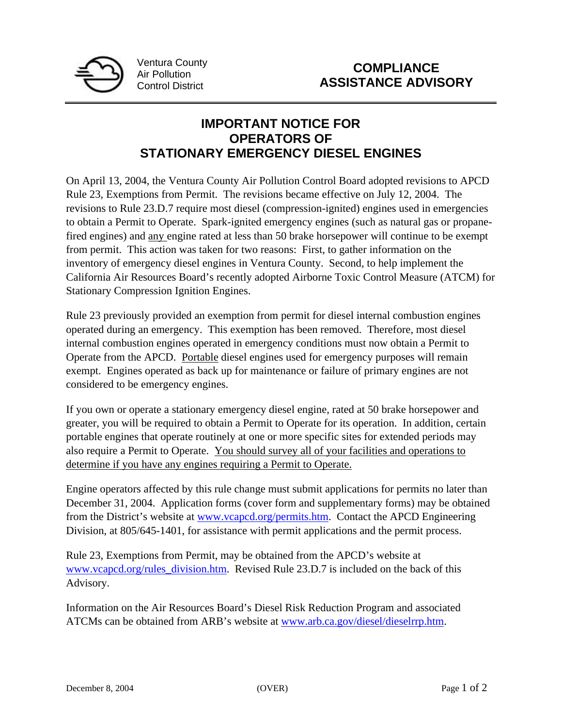

Ventura County Air Pollution Control District

## **IMPORTANT NOTICE FOR OPERATORS OF STATIONARY EMERGENCY DIESEL ENGINES**

On April 13, 2004, the Ventura County Air Pollution Control Board adopted revisions to APCD Rule 23, Exemptions from Permit. The revisions became effective on July 12, 2004. The revisions to Rule 23.D.7 require most diesel (compression-ignited) engines used in emergencies to obtain a Permit to Operate. Spark-ignited emergency engines (such as natural gas or propanefired engines) and any engine rated at less than 50 brake horsepower will continue to be exempt from permit. This action was taken for two reasons: First, to gather information on the inventory of emergency diesel engines in Ventura County. Second, to help implement the California Air Resources Board's recently adopted Airborne Toxic Control Measure (ATCM) for Stationary Compression Ignition Engines.

Rule 23 previously provided an exemption from permit for diesel internal combustion engines operated during an emergency. This exemption has been removed. Therefore, most diesel internal combustion engines operated in emergency conditions must now obtain a Permit to Operate from the APCD. Portable diesel engines used for emergency purposes will remain exempt. Engines operated as back up for maintenance or failure of primary engines are not considered to be emergency engines.

If you own or operate a stationary emergency diesel engine, rated at 50 brake horsepower and greater, you will be required to obtain a Permit to Operate for its operation. In addition, certain portable engines that operate routinely at one or more specific sites for extended periods may also require a Permit to Operate. You should survey all of your facilities and operations to determine if you have any engines requiring a Permit to Operate.

Engine operators affected by this rule change must submit applications for permits no later than December 31, 2004. Application forms (cover form and supplementary forms) may be obtained from the District's website at www.vcapcd.org/permits.htm. Contact the APCD Engineering Division, at 805/645-1401, for assistance with permit applications and the permit process.

Rule 23, Exemptions from Permit, may be obtained from the APCD's website at www.vcapcd.org/rules\_division.htm. Revised Rule 23.D.7 is included on the back of this Advisory.

Information on the Air Resources Board's Diesel Risk Reduction Program and associated ATCMs can be obtained from ARB's website at www.arb.ca.gov/diesel/dieselrrp.htm.